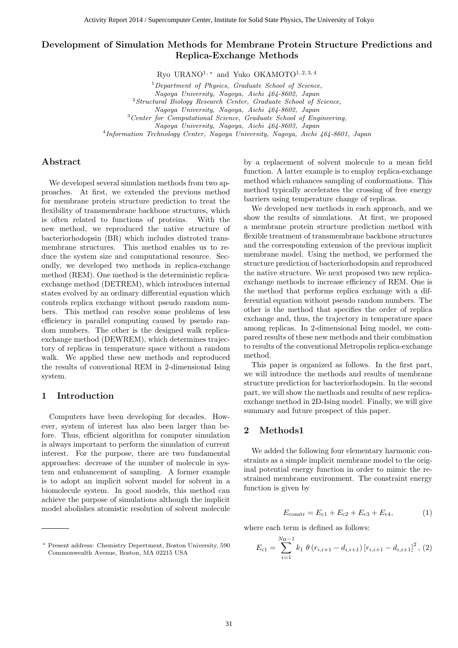# **Development of Simulation Methods for Membrane Protein Structure Predictions and Replica-Exchange Methods**

Ryo URANO<sup>1,∗</sup> and Yuko OKAMOTO<sup>1, 2, 3, 4</sup>

<sup>1</sup>*Department of Physics, Graduate School of Science, Nagoya University, Nagoya, Aichi 464-8602, Japan* <sup>2</sup>*Structural Biology Research Center, Graduate School of Science, Nagoya University, Nagoya, Aichi 464-8602, Japan* <sup>3</sup>*Center for Computational Science, Graduate School of Engineering, Nagoya University, Nagoya, Aichi 464-8603, Japan* 4 *Information Technology Center, Nagoya University, Nagoya, Aichi 464-8601, Japan*

## **Abstract**

We developed several simulation methods from two approaches. At first, we extended the previous method for membrane protein structure prediction to treat the flexibility of transmembrane backbone structures, which is often related to functions of proteins. With the new method, we reproduced the native structure of bacteriorhodopsin (BR) which includes distroted transmembrane structures. This method enables us to reduce the system size and computational resource. Secondly, we developed two methods in replica-exchange method (REM). One method is the deterministic replicaexchange method (DETREM), which introduces internal states evolved by an ordinary differential equation which controls replica exchange without pseudo random numbers. This method can resolve some problems of less efficiency in parallel computing caused by pseudo random numbers. The other is the designed walk replicaexchange method (DEWREM), which determines trajectory of replicas in temperature space without a random walk. We applied these new methods and reproduced the results of conventional REM in 2-dimensional Ising system.

## **1 Introduction**

Computers have been developing for decades. However, system of interest has also been larger than before. Thus, efficient algorithm for computer simulation is always important to perform the simulation of current interest. For the purpose, there are two fundamental approaches: decrease of the number of molecule in system and enhancement of sampling. A former example is to adopt an implicit solvent model for solvent in a biomolecule system. In good models, this method can achieve the purpose of simulations although the implicit model abolishes atomistic resolution of solvent molecule by a replacement of solvent molecule to a mean field function. A latter example is to employ replica-exchange method which enhances sampling of conformations. This method typically accelerates the crossing of free energy barriers using temperature change of replicas.

We developed new methods in each approach, and we show the results of simulations. At first, we proposed a membrane protein structure prediction method with flexible treatment of transmembrane backbone structures and the corresponding extension of the previous implicit membrane model. Using the method, we performed the structure prediction of bacteriorhodopsin and reproduced the native structure. We next proposed two new replicaexchange methods to increase efficiency of REM. One is the method that performs replica exchange with a differential equation without pseudo random numbers. The other is the method that specifies the order of replica exchange and, thus, the trajectory in temperature space among replicas. In 2-dimensional Ising model, we compared results of these new methods and their combination to results of the conventional Metropolis replica-exchange method.

This paper is organized as follows. In the first part, we will introduce the methods and results of membrane structure prediction for bacteriorhodopsin. In the second part, we will show the methods and results of new replicaexchange method in 2D-Ising model. Finally, we will give summary and future prospect of this paper.

## **2 Methods1**

We added the following four elementary harmonic constraints as a simple implicit membrane model to the original potential energy function in order to mimic the restrained membrane environment. The constraint energy function is given by

$$
E_{\text{constr}} = E_{c1} + E_{c2} + E_{c3} + E_{c4}, \tag{1}
$$

where each term is defined as follows:

$$
E_{c1} = \sum_{i=1}^{N_{\rm H}-1} k_1 \theta (r_{i,i+1} - d_{i,i+1}) [r_{i,i+1} - d_{i,i+1}]^2, (2)
$$

*<sup>∗</sup>* Present address: Chemistry Depertment, Boston University, 590 Commonwealth Avenue, Boston, MA 02215 USA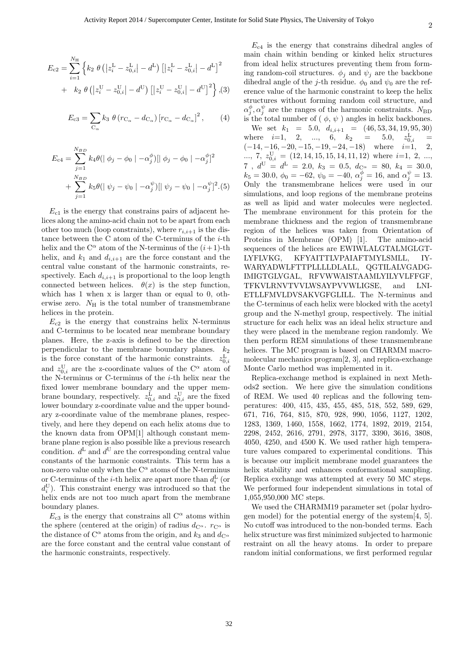$$
E_{c2} = \sum_{i=1}^{N_{\rm H}} \left\{ k_2 \ \theta \left( \left| z_i^{\rm L} - z_{0,i}^{\rm L} \right| - d^{\rm L} \right) \left[ \left| z_i^{\rm L} - z_{0,i}^{\rm L} \right| - d^{\rm L} \right]^2 \right. \\ + \left. k_2 \ \theta \left( \left| z_i^{\rm U} - z_{0,i}^{\rm U} \right| - d^{\rm U} \right) \left[ \left| z_i^{\rm U} - z_{0,i}^{\rm U} \right| - d^{\rm U} \right]^2 \right\},(3)
$$

$$
E_{\rm c3} = \sum_{\rm C_{\alpha}} k_3 \; \theta \left( r_{\rm C_{\alpha}} - d_{\rm C_{\alpha}} \right) \left[ r_{\rm C_{\alpha}} - d_{\rm C_{\alpha}} \right]^2, \qquad (4)
$$

$$
E_{c4} = \sum_{j=1}^{N_{BD}} k_4 \theta (\|\phi_j - \phi_0\| - \alpha_j^{\phi}) [\|\phi_j - \phi_0\| - \alpha_j^{\phi}]^2
$$
  
+ 
$$
\sum_{j=1}^{N_{BD}} k_5 \theta (\|\psi_j - \psi_0\| - \alpha_j^{\psi}) [\|\psi_j - \psi_0\| - \alpha_j^{\psi}]^2 . (5)
$$

 $E_{c1}$  is the energy that constrains pairs of adjacent helices along the amino-acid chain not to be apart from each other too much (loop constraints), where  $r_{i,i+1}$  is the distance between the C atom of the C-terminus of the *i*-th helix and the  $C^{\alpha}$  atom of the N-terminus of the  $(i+1)$ -th helix, and  $k_1$  and  $d_{i,i+1}$  are the force constant and the central value constant of the harmonic constraints, respectively. Each  $d_{i,i+1}$  is proportional to the loop length connected between helices.  $\theta(x)$  is the step function, which has 1 when x is larger than or equal to 0, otherwise zero.  $N_{\rm H}$  is the total number of transmembrane helices in the protein.

 $E_{c2}$  is the energy that constrains helix N-terminus and C-terminus to be located near membrane boundary planes. Here, the z-axis is defined to be the direction perpendicular to the membrane boundary planes.  $k_2$ is the force constant of the harmonic constraints.  $z_{0,i}^{\text{L}}$ and  $z_{0,i}^{\text{U}}$  are the z-coordinate values of the C<sup> $\alpha$ </sup> atom of the N-terminus or C-terminus of the *i*-th helix near the fixed lower membrane boundary and the upper membrane boundary, respectively.  $z_{0,i}^{\text{L}}$  and  $z_{0,i}^{\text{U}}$  are the fixed lower boundary z-coordinate value and the upper boundary z-coordinate value of the membrane planes, respectively, and here they depend on each helix atoms due to the known data from OPM[1] although constant membrane plane region is also possible like a previous research condition.  $d^L$  and  $d^U$  are the corresponding central value constants of the harmonic constraints. This term has a non-zero value only when the  $C^{\alpha}$  atoms of the N-terminus or C-terminus of the *i*-th helix are apart more than  $d_i^{\text{L}}$  (or  $d_i^{\text{U}}$ ). This constraint energy was introduced so that the helix ends are not too much apart from the membrane boundary planes.

 $E_{c3}$  is the energy that constrains all  $C^{\alpha}$  atoms within the sphere (centered at the origin) of radius  $d_{C^{\alpha}}$ .  $r_{C^{\alpha}}$  is the distance of  $C^{\alpha}$  atoms from the origin, and  $k_3$  and  $d_{C^{\alpha}}$ are the force constant and the central value constant of the harmonic constraints, respectively.

 $E_{c4}$  is the energy that constrains dihedral angles of main chain within bending or kinked helix structures from ideal helix structures preventing them from forming random-coil structures.  $\phi_j$  and  $\psi_j$  are the backbone dihedral angle of the *j*-th residue.  $\phi_0$  and  $\psi_0$  are the reference value of the harmonic constraint to keep the helix structures without forming random coil structure, and  $\alpha_j^{\phi}, \alpha_j^{\psi}$  are the ranges of the harmonic constraints. *N*<sub>BD</sub> is the total number of  $(\phi, \psi)$  angles in helix backbones.

We set  $k_1 = 5.0, d_{i,i+1} = (46, 53, 34, 19, 95, 30)$ where  $i=1, 2, ..., 6, k_2 = 5.0, z_{0,i}^L =$ (*−*14*, −*16*, −*20*, −*15*, −*19*, −*24*, −*18) where *i*=1, 2,  $\ldots$ , 7,  $z_{0,i}^{\text{U}} = (12, 14, 15, 15, 14, 11, 12)$  where *i*=1, 2, ...,  $7, d^{\text{U}} = d^{\text{L}} = 2.0, k_3 = 0.5, d_{\text{C}}^{\alpha} = 80, k_4 = 30.0,$  $k_5 = 30.0, \ \phi_0 = -62, \ \psi_0 = -40, \ \alpha_j^{\phi} = 16, \text{ and } \alpha_j^{\psi} = 13.$ Only the transmembrane helices were used in our simulations, and loop regions of the membrane proteins as well as lipid and water molecules were neglected. The membrane environment for this protein for the membrane thickness and the region of transmembrane region of the helices was taken from Orientation of Proteins in Membrane (OPM) [1]. The amino-acid sequences of the helices are EWIWLALGTALMGLGT-LYFLVKG, KFYAITTLVPAIAFTMYLSMLL, IY-WARYADWLFTTPLLLLDLALL, QGTILALVGADG-IMIGTGLVGAL, RFVWWAISTAAMLYILYVLFFGF, TFKVLRNVTVVLWSAYPVVWLIGSE, and LNI-ETLLFMVLDVSAKVGFGLILL. The N-terminus and the C-terminus of each helix were blocked with the acetyl group and the N-methyl group, respectively. The initial structure for each helix was an ideal helix structure and they were placed in the membrane region randomly. We then perform REM simulations of these transmembrane helices. The MC program is based on CHARMM macromolecular mechanics program[2, 3], and replica-exchange Monte Carlo method was implemented in it.

Replica-exchange method is explained in next Methods2 section. We here give the simulation conditions of REM. We used 40 replicas and the following temperatures: 400, 415, 435, 455, 485, 518, 552, 589, 629, 671, 716, 764, 815, 870, 928, 990, 1056, 1127, 1202, 1283, 1369, 1460, 1558, 1662, 1774, 1892, 2019, 2154, 2298, 2452, 2616, 2791, 2978, 3177, 3390, 3616, 3808, 4050, 4250, and 4500 K. We used rather high temperature values compared to experimental conditions. This is because our implicit membrane model guarantees the helix stability and enhances conformational sampling. Replica exchange was attempted at every 50 MC steps. We performed four independent simulations in total of 1,055,950,000 MC steps.

We used the CHARMM19 parameter set (polar hydrogen model) for the potential energy of the system[4, 5]. No cutoff was introduced to the non-bonded terms. Each helix structure was first minimized subjected to harmonic restraint on all the heavy atoms. In order to prepare random initial conformations, we first performed regular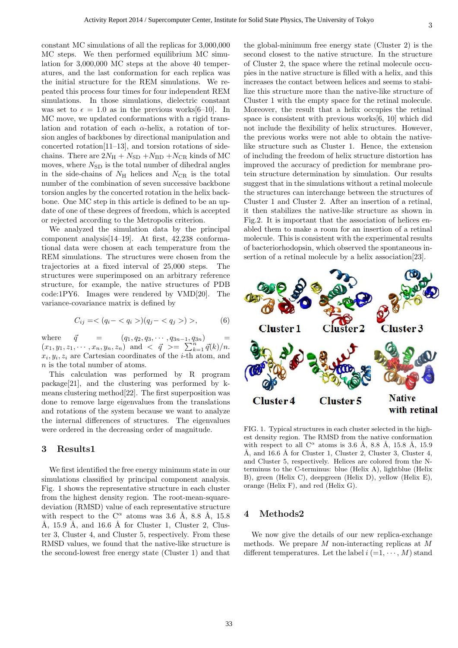constant MC simulations of all the replicas for 3,000,000 MC steps. We then performed equilibrium MC simulation for 3,000,000 MC steps at the above 40 temperatures, and the last conformation for each replica was the initial structure for the REM simulations. We repeated this process four times for four independent REM simulations. In those simulations, dielectric constant was set to  $\epsilon = 1.0$  as in the previous works[6–10]. In MC move, we updated conformations with a rigid translation and rotation of each *α*-helix, a rotation of torsion angles of backbones by directional manipulation and concerted rotation[11–13], and torsion rotations of sidechains. There are  $2N_{\rm H} + N_{\rm SD} + N_{\rm BD} + N_{\rm CR}$  kinds of MC moves, where  $N_{\text{SD}}$  is the total number of dihedral angles in the side-chains of  $N_{\rm H}$  helices and  $N_{\rm CR}$  is the total number of the combination of seven successive backbone

torsion angles by the concerted rotation in the helix backbone. One MC step in this article is defined to be an update of one of these degrees of freedom, which is accepted or rejected according to the Metropolis criterion.

We analyzed the simulation data by the principal component analysis[14–19]. At first, 42,238 conformational data were chosen at each temperature from the REM simulations. The structures were chosen from the trajectories at a fixed interval of 25,000 steps. The structures were superimposed on an arbitrary reference structure, for example, the native structures of PDB code:1PY6. Images were rendered by VMD[20]. The variance-covariance matrix is defined by

$$
C_{ij} = \langle (q_i - \langle q_i \rangle)(q_j - \langle q_j \rangle) \rangle, \tag{6}
$$

where  $\vec{q} = (q_1, q_2, q_3, \cdots, q_{3n-1}, q_{3n}) =$  $(x_1, y_1, z_1, \cdots, x_n, y_n, z_n)$  and  $\langle \vec{q} \rangle = \sum_{k=1}^n \vec{q}(k)/n$ .  $x_i, y_i, z_i$  are Cartesian coordinates of the *i*-th atom, and *n* is the total number of atoms.

This calculation was performed by R program package[21], and the clustering was performed by kmeans clustering method[22]. The first superposition was done to remove large eigenvalues from the translations and rotations of the system because we want to analyze the internal differences of structures. The eigenvalues were ordered in the decreasing order of magnitude.

## **3 Results1**

We first identified the free energy minimum state in our simulations classified by principal component analysis. Fig. 1 shows the representative structure in each cluster from the highest density region. The root-mean-squaredeviation (RMSD) value of each representative structure with respect to the  $C^{\alpha}$  atoms was 3.6 Å, 8.8 Å, 15.8 Å, 15.9 Å, and 16.6 Å for Cluster 1, Cluster 2, Cluster 3, Cluster 4, and Cluster 5, respectively. From these RMSD values, we found that the native-like structure is the second-lowest free energy state (Cluster 1) and that

the global-minimum free energy state (Cluster 2) is the second closest to the native structure. In the structure of Cluster 2, the space where the retinal molecule occupies in the native structure is filled with a helix, and this increases the contact between helices and seems to stabilize this structure more than the native-like structure of Cluster 1 with the empty space for the retinal molecule. Moreover, the result that a helix occupies the retinal space is consistent with previous works[6, 10] which did not include the flexibility of helix structures. However, the previous works were not able to obtain the nativelike structure such as Cluster 1. Hence, the extension of including the freedom of helix structure distortion has improved the accuracy of prediction for membrane protein structure determination by simulation. Our results suggest that in the simulations without a retinal molecule the structures can interchange between the structures of Cluster 1 and Cluster 2. After an insertion of a retinal, it then stabilizes the native-like structure as shown in Fig.2. It is important that the association of helices enabled them to make a room for an insertion of a retinal molecule. This is consistent with the experimental results of bacteriorhodopsin, which observed the spontaneous insertion of a retinal molecule by a helix association[23].



FIG. 1. Typical structures in each cluster selected in the highest density region. The RMSD from the native conformation with respect to all  $C^{\alpha}$  atoms is 3.6 Å, 8.8 Å, 15.8 Å, 15.9 Å, and 16.6 Å for Cluster 1, Cluster 2, Cluster 3, Cluster 4, and Cluster 5, respectively. Helices are colored from the Nterminus to the C-terminus: blue (Helix A), lightblue (Helix B), green (Helix C), deepgreen (Helix D), yellow (Helix E), orange (Helix F), and red (Helix G).

## **4 Methods2**

We now give the details of our new replica-exchange methods. We prepare *M* non-interacting replicas at *M* different temperatures. Let the label  $i (=1, \cdots, M)$  stand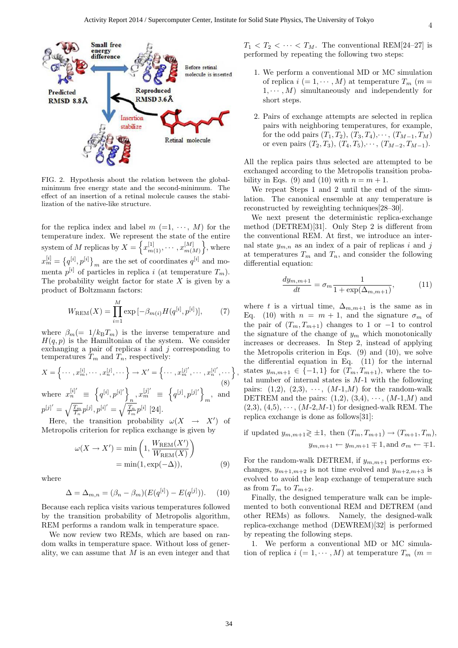

FIG. 2. Hypothesis about the relation between the globalminimum free energy state and the second-minimum. The effect of an insertion of a retinal molecule causes the stabilization of the native-like structure.

for the replica index and label  $m (=1, \cdots, M)$  for the temperature index. We represent the state of the entire system of *M* replicas by  $X = \left\{ x_{m(1)}^{[1]}, \cdots, x_{m(l)}^{[M]} \right\}$ *m*(*M*) } , where  $x_m^{[i]} = \{q^{[i]}, p^{[i]}\}_m$  are the set of coordinates  $q^{[i]}$  and momenta  $p^{[i]}$  of particles in replica *i* (at temperature  $T_m$ ). The probability weight factor for state *X* is given by a product of Boltzmann factors:

$$
W_{\text{REM}}(X) = \prod_{i=1}^{M} \exp\left[-\beta_{m(i)} H(q^{[i]}, p^{[i]})\right],\tag{7}
$$

where  $\beta_m (= 1/k_B T_m)$  is the inverse temperature and  $H(q, p)$  is the Hamiltonian of the system. We consider exchanging a pair of replicas *i* and *j* corresponding to temperatures  $\hat{T}_m$  and  $\hat{T}_n$ , respectively:

$$
X = \left\{ \cdots, x_m^{[i]}, \cdots, x_n^{[j]}, \cdots \right\} \to X' = \left\{ \cdots, x_m^{[j]}, \cdots, x_n^{[i]}, \cdots \right\}
$$
\n(8)

\nwhere 
$$
x_n^{[i]'} \equiv \left\{ q^{[i]}, p^{[i]'} \right\}_n, x_m^{[j]} \equiv \left\{ q^{[j]}, p^{[j]} \right\}_m, \text{ and}
$$

 $p^{[j]'} = \sqrt{\frac{T_m}{T_n}} p^{[j]}, p^{[i]'} = \sqrt{\frac{T_n}{T_m}} p^{[i]}$  [24].

Here, the transition probability  $\omega(X \rightarrow X')$  of Metropolis criterion for replica exchange is given by

$$
\omega(X \to X') = \min\left(1, \frac{W_{\text{REM}}(X')}{W_{\text{REM}}(X)}\right)
$$

$$
= \min(1, \exp(-\Delta)), \tag{9}
$$

where

$$
\Delta = \Delta_{m,n} = (\beta_n - \beta_m)(E(q^{[i]}) - E(q^{[j]})).
$$
 (10)

Because each replica visits various temperatures followed by the transition probability of Metropolis algorithm, REM performs a random walk in temperature space.

We now review two REMs, which are based on random walks in temperature space. Without loss of generality, we can assume that *M* is an even integer and that  $T_1 < T_2 < \cdots < T_M$ . The conventional REM[24–27] is performed by repeating the following two steps:

- 1. We perform a conventional MD or MC simulation of replica  $i (= 1, \dots, M)$  at temperature  $T_m$  ( $m =$  $1, \dots, M$  simultaneously and independently for short steps.
- 2. Pairs of exchange attempts are selected in replica pairs with neighboring temperatures, for example, for the odd pairs  $(T_1, T_2), (T_3, T_4), \cdots, (T_{M-1}, T_M)$ or even pairs  $(T_2, T_3)$ ,  $(T_4, T_5)$ ,  $\cdots$ ,  $(T_{M-2}, T_{M-1})$ .

All the replica pairs thus selected are attempted to be exchanged according to the Metropolis transition probability in Eqs. (9) and (10) with  $n = m + 1$ .

We repeat Steps 1 and 2 until the end of the simulation. The canonical ensemble at any temperature is reconstructed by reweighting techniques[28–30].

We next present the deterministic replica-exchange method (DETREM)[31]. Only Step 2 is different from the conventional REM. At first, we introduce an internal state  $y_{m,n}$  as an index of a pair of replicas *i* and *j* at temperatures  $T_m$  and  $T_n$ , and consider the following differential equation:

$$
\frac{dy_{m,m+1}}{dt} = \sigma_m \frac{1}{1 + \exp(\Delta_{m,m+1})},
$$
(11)

where *t* is a virtual time,  $\Delta_{m,m+1}$  is the same as in Eq. (10) with  $n = m + 1$ , and the signature  $\sigma_m$  of the pair of  $(T_m, T_{m+1})$  changes to 1 or  $-1$  to control the signature of the change of  $y_m$  which monotonically increases or decreases. In Step 2, instead of applying the Metropolis criterion in Eqs.  $(9)$  and  $(10)$ , we solve the differential equation in Eq. (11) for the internal states  $y_{m,m+1} \in \{-1,1\}$  for  $(T_m, T_{m+1})$ , where the total number of internal states is *M*-1 with the following pairs:  $(1,2)$ ,  $(2,3)$ ,  $\cdots$ ,  $(M-1,M)$  for the random-walk DETREM and the pairs:  $(1,2)$ ,  $(3,4)$ ,  $\cdots$ ,  $(M-1,M)$  and  $(2,3), (4,5), \cdots, (M-2,M-1)$  for designed-walk REM. The replica exchange is done as follows[31]:

if updated *ym,m*+1≷ *±*1*,* then (*Tm, Tm*+1) *→* (*Tm*+1*, Tm*)*,*  $y_{m,m+1} \leftarrow y_{m,m+1} \mp 1$ , and  $\sigma_m \leftarrow \mp 1$ .

For the random-walk DETREM, if *ym,m*+1 performs exchanges,  $y_{m+1,m+2}$  is not time evolved and  $y_{m+2,m+3}$  is evolved to avoid the leap exchange of temperature such as from  $T_m$  to  $T_{m+2}$ .

Finally, the designed temperature walk can be implemented to both conventional REM and DETREM (and other REMs) as follows. Namely, the designed-walk replica-exchange method (DEWREM)[32] is performed by repeating the following steps.

1. We perform a conventional MD or MC simulation of replica  $i (= 1, \dots, M)$  at temperature  $T_m$  (*m* =

*,*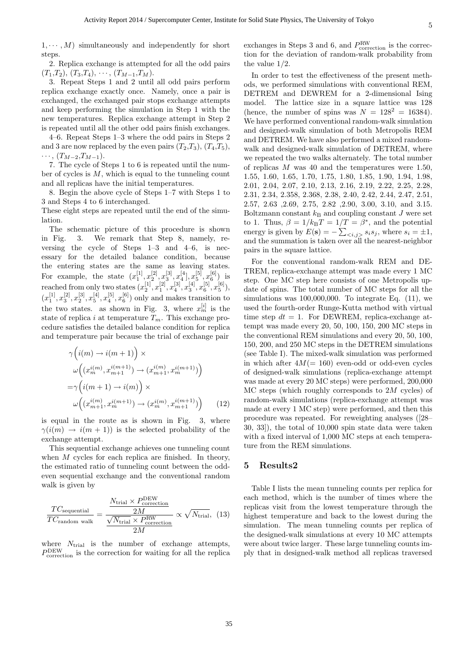$1, \cdots, M$ ) simultaneously and independently for short steps.

2. Replica exchange is attempted for all the odd pairs  $(T_1, T_2), (T_3, T_4), \cdots, (T_{M-1}, T_M).$ 

3. Repeat Steps 1 and 2 until all odd pairs perform replica exchange exactly once. Namely, once a pair is exchanged, the exchanged pair stops exchange attempts and keep performing the simulation in Step 1 with the new temperatures. Replica exchange attempt in Step 2 is repeated until all the other odd pairs finish exchanges.

4–6. Repeat Steps 1–3 where the odd pairs in Steps 2 and 3 are now replaced by the even pairs  $(T_2, T_3)$ ,  $(T_4, T_5)$ , *· · ·* , (*T<sup>M</sup>−*<sup>2</sup>,*T<sup>M</sup>−*<sup>1</sup>).

7. The cycle of Steps 1 to 6 is repeated until the number of cycles is *M*, which is equal to the tunneling count and all replicas have the initial temperatures.

8. Begin the above cycle of Steps 1–7 with Steps 1 to 3 and Steps 4 to 6 interchanged.

These eight steps are repeated until the end of the simulation.

The schematic picture of this procedure is shown in Fig. 3. We remark that Step 8, namely, reversing the cycle of Steps 1–3 and 4–6, is necessary for the detailed balance condition, because the entering states are the same as leaving states. For example, the state  $(x_1^{[1]}, x_2^{[2]}, x_3^{[3]}, x_4^{[4]}, x_5^{[5]}, x_6^{[6]})$  is reached from only two states  $(x_2^{[1]}, x_1^{[2]}, x_4^{[3]}, x_3^{[4]}, x_6^{[5]}, x_5^{[6]}),$  $(x_1^{[1]}, x_3^{[2]}, x_2^{[3]}, x_5^{[4]}, x_4^{[5]}, x_6^{[6]})$  only and makes transition to the two states. as shown in Fig. 3, where  $x_m^{[i]}$  is the state of replica *i* at temperature  $T_m$ . This exchange procedure satisfies the detailed balance condition for replica and temperature pair because the trial of exchange pair

$$
\gamma\left(i(m) \to i(m+1)\right) \times
$$
  
\n
$$
\omega\left((x_m^{i(m)}, x_{m+1}^{i(m+1)}) \to (x_{m+1}^{i(m)}, x_m^{i(m+1)})\right)
$$
  
\n
$$
=\gamma\left(i(m+1) \to i(m)\right) \times
$$
  
\n
$$
\omega\left((x_{m+1}^{i(m)}, x_m^{i(m+1)}) \to (x_m^{i(m)}, x_{m+1}^{i(m+1)})\right)
$$
 (12)

is equal in the route as is shown in Fig. 3, where  $\gamma(i(m) \rightarrow i(m+1))$  is the selected probability of the exchange attempt.

This sequential exchange achieves one tunneling count when *M* cycles for each replica are finished. In theory, the estimated ratio of tunneling count between the oddeven sequential exchange and the conventional random walk is given by

$$
\frac{TC_{\text{sequential}}}{TC_{\text{random walk}}} = \frac{\frac{N_{\text{trial}} \times P_{\text{correction}}}{2M}}{\frac{\sqrt{N_{\text{trial}}} \times P_{\text{correction}}^{\text{RW}}} \times \sqrt{N_{\text{trial}}}, (13)
$$

where  $N_{\text{trial}}$  is the number of exchange attempts, *P* DEW correction is the correction for waiting for all the replica

exchanges in Steps 3 and 6, and  $P_{\text{correction}}^{\text{RW}}$  is the correction for the deviation of random-walk probability from the value 1/2.

In order to test the effectiveness of the present methods, we performed simulations with conventional REM, DETREM and DEWREM for a 2-dimensional Ising model. The lattice size in a square lattice was 128 (hence, the number of spins was  $N = 128^2 = 16384$ ). We have performed conventional random-walk simulation and designed-walk simulation of both Metropolis REM and DETREM. We have also performed a mixed randomwalk and designed-walk simulation of DETREM, where we repeated the two walks alternately. The total number of replicas *M* was 40 and the temperatures were 1.50, 1.55, 1.60, 1.65, 1.70, 1.75, 1.80, 1.85, 1.90, 1.94, 1.98, 2.01, 2.04, 2.07, 2.10, 2.13, 2.16, 2.19, 2.22, 2.25, 2.28, 2.31, 2.34, 2.358, 2.368, 2.38, 2.40, 2.42, 2.44, 2.47, 2.51, 2.57, 2.63 ,2.69, 2.75, 2.82 ,2.90, 3.00, 3.10, and 3.15. Boltzmann constant  $k_B$  and coupling constant *J* were set to 1. Thus,  $\beta = 1/k_BT = 1/T = \beta^*$ , and the potential energy is given by  $E(\mathbf{s}) = -\sum_{\langle i,j \rangle} s_i s_j$ , where  $s_i = \pm 1$ , and the summation is taken over all the nearest-neighbor pairs in the square lattice.

For the conventional random-walk REM and DE-TREM, replica-exchange attempt was made every 1 MC step. One MC step here consists of one Metropolis update of spins. The total number of MC steps for all the simulations was  $100,000,000$ . To integrate Eq.  $(11)$ , we used the fourth-order Runge-Kutta method with virtual time step  $dt = 1$ . For DEWREM, replica-exchange attempt was made every 20, 50, 100, 150, 200 MC steps in the conventional REM simulations and every 20, 50, 100, 150, 200, and 250 MC steps in the DETREM simulations (see Table I). The mixed-walk simulation was performed in which after  $4M(= 160)$  even-odd or odd-even cycles of designed-walk simulations (replica-exchange attempt was made at every 20 MC steps) were performed, 200,000 MC steps (which roughly corresponds to 2*M* cycles) of random-walk simulations (replica-exchange attempt was made at every 1 MC step) were performed, and then this procedure was repeated. For reweighting analyses ([28– 30, 33]), the total of 10,000 spin state data were taken with a fixed interval of  $1,000$  MC steps at each temperature from the REM simulations.

#### **5 Results2**

Table I lists the mean tunneling counts per replica for each method, which is the number of times where the replicas visit from the lowest temperature through the highest temperature and back to the lowest during the simulation. The mean tunneling counts per replica of the designed-walk simulations at every 10 MC attempts were about twice larger. These large tunneling counts imply that in designed-walk method all replicas traversed

5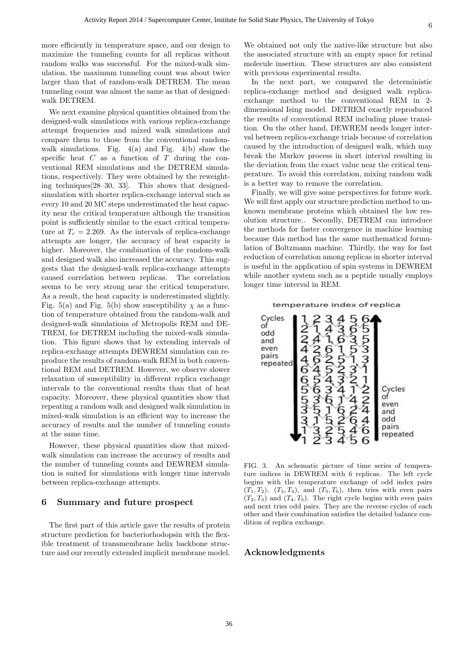more efficiently in temperature space, and our design to maximize the tunneling counts for all replicas without random walks was successful. For the mixed-walk simulation, the maximum tunneling count was about twice larger than that of random-walk DETREM. The mean tunneling count was almost the same as that of designedwalk DETREM.

We next examine physical quantities obtained from the designed-walk simulations with various replica-exchange attempt frequencies and mixed walk simulations and compare them to those from the conventional randomwalk simulations. Fig.  $4(a)$  and Fig.  $4(b)$  show the specific heat *C* as a function of *T* during the conventional REM simulations and the DETREM simulations, respectively. They were obtained by the reweighting techniques[28–30, 33]. This shows that designedsimulation with shorter replica-exchange interval such as every 10 and 20 MC steps underestimated the heat capacity near the critical temperature although the transition point is sufficiently similar to the exact critical temperature at  $T_c = 2.269$ . As the intervals of replica-exchange attempts are longer, the accuracy of heat capacity is higher. Moreover, the combination of the random-walk and designed walk also increased the accuracy. This suggests that the designed-walk replica-exchange attempts caused correlation between replicas. The correlation seems to be very strong near the critical temperature. As a result, the heat capacity is underestimated slightly. Fig. 5(a) and Fig. 5(b) show susceptibility  $\chi$  as a function of temperature obtained from the random-walk and designed-walk simulations of Metropolis REM and DE-TREM, for DETREM including the mixed-walk simulation. This figure shows that by extending intervals of replica-exchange attempts DEWREM simulation can reproduce the results of random-walk REM in both conventional REM and DETREM. However, we observe slower relaxation of susceptibility in different replica exchange intervals to the conventional results than that of heat capacity. Moreover, these physical quantities show that repeating a random walk and designed walk simulation in mixed-walk simulation is an efficient way to increase the accuracy of results and the number of tunneling counts at the same time.

However, these physical quantities show that mixedwalk simulation can increase the accuracy of results and the number of tunneling counts and DEWREM simulation is suited for simulations with longer time intervals between replica-exchange attempts.

#### **6 Summary and future prospect**

The first part of this article gave the results of protein structure prediction for bacteriorhodopsin with the flexible treatment of transmembrane helix backbone structure and our recently extended implicit membrane model.

We obtained not only the native-like structure but also the associated structure with an empty space for retinal molecule insertion. These structures are also consistent with previous experimental results.

In the next part, we compared the deterministic replica-exchange method and designed walk replicaexchange method to the conventional REM in 2 dimensional Ising model. DETREM exactly reproduced the results of conventional REM including phase transition. On the other hand, DEWREM needs longer interval between replica-exchange trials because of correlation caused by the introduction of designed walk, which may break the Markov process in short interval resulting in the deviation from the exact value near the critical temperature. To avoid this correlation, mixing random walk is a better way to remove the correlation.

Finally, we will give some perspectives for future work. We will first apply our structure prediction method to unknown membrane proteins which obtained the low resolution structure.. Secondly, DETREM can introduce the methods for faster convergence in machine learning because this method has the same mathematical formulation of Boltzmann machine. Thirdly, the way for fast reduction of correlation among replicas in shorter interval is useful in the application of spin systems in DEWREM while another system such as a peptide usually employs longer time interval in REM.

#### temperature index of replica



FIG. 3. An schematic picture of time series of temperature indices in DEWREM with 6 replicas. The left cycle begins with the temperature exchange of odd index pairs  $(T_1, T_2)$ ,  $(T_3, T_4)$ , and  $(T_5, T_6)$ , then tries with even pairs  $(T_2, T_3)$  and  $(T_4, T_5)$ . The right cycle begins with even pairs and next tries odd pairs. They are the reverse cycles of each other and their combination satisfies the detailed balance condition of replica exchange.

#### **Acknowledgments**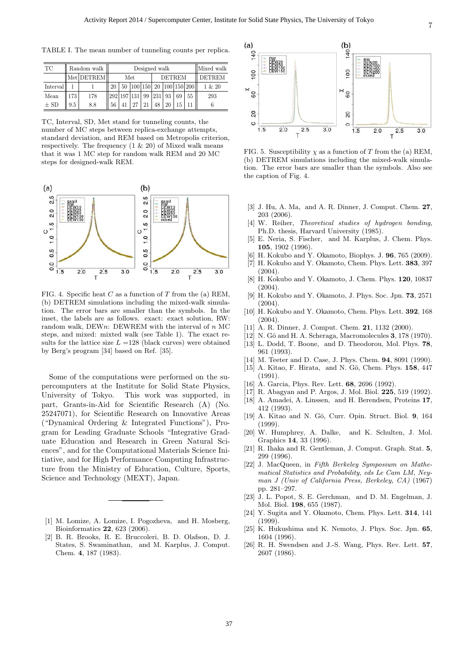TABLE I. The mean number of tunneling counts per replica.

| TC       |     | Random walk | Designed walk |  |    |    |               |    |    |                                       | Mixed walk    |
|----------|-----|-------------|---------------|--|----|----|---------------|----|----|---------------------------------------|---------------|
|          |     | Met DETREM  | Met           |  |    |    | <b>DETREM</b> |    |    |                                       | <b>DETREM</b> |
| Interval |     |             | 20            |  |    |    |               |    |    | 50   100   150   20   100   150   200 | 1 & 20        |
| Mean     | 173 | 178         | 292 197 131   |  |    | 99 | 231           | 93 | 69 | 55                                    | 293           |
| $\pm$ SD | 9.5 | 8.8         | 56            |  | 27 | 21 | 48            | 20 |    |                                       |               |

TC, Interval, SD, Met stand for tunneling counts, the number of MC steps between replica-exchange attempts, standard deviation, and REM based on Metropolis criterion, respectively. The frequency  $(1 \& 20)$  of Mixed walk means that it was 1 MC step for random walk REM and 20 MC steps for designed-walk REM.



FIG. 4. Specific heat *C* as a function of *T* from the (a) REM, (b) DETREM simulations including the mixed-walk simulation. The error bars are smaller than the symbols. In the inset, the labels are as follows. exact: exact solution, RW: random walk, DEW*n*: DEWREM with the interval of *n* MC steps, and mixed: mixted walk (see Table 1). The exact results for the lattice size  $L = 128$  (black curves) were obtained by Berg's program [34] based on Ref. [35].

Some of the computations were performed on the supercomputers at the Institute for Solid State Physics, University of Tokyo. This work was supported, in part, Grants-in-Aid for Scientific Research (A) (No. 25247071), for Scientific Research on Innovative Areas ("Dynamical Ordering & Integrated Functions"), Program for Leading Graduate Schools "Integrative Graduate Education and Research in Green Natural Sciences", and for the Computational Materials Science Initiative, and for High Performance Computing Infrastructure from the Ministry of Education, Culture, Sports, Science and Technology (MEXT), Japan.

- [1] M. Lomize, A. Lomize, I. Pogozheva, and H. Mosberg, Bioinformatics **22**, 623 (2006).
- [2] B. R. Brooks, R. E. Bruccoleri, B. D. Olafson, D. J. States, S. Swaminathan, and M. Karplus, J. Comput. Chem. **4**, 187 (1983).



FIG. 5. Susceptibility  $\chi$  as a function of *T* from the (a) REM, (b) DETREM simulations including the mixed-walk simulation. The error bars are smaller than the symbols. Also see the caption of Fig. 4.

- [3] J. Hu, A. Ma, and A. R. Dinner, J. Comput. Chem. **27**, 203 (2006).
- [4] W. Reiher, *Theoretical studies of hydrogen bonding*, Ph.D. thesis, Harvard University (1985).
- [5] E. Neria, S. Fischer, and M. Karplus, J. Chem. Phys. **105**, 1902 (1996).
- [6] H. Kokubo and Y. Okamoto, Biophys. J. **96**, 765 (2009).
- [7] H. Kokubo and Y. Okamoto, Chem. Phys. Lett. **383**, 397  $(2004)$ .
- [8] H. Kokubo and Y. Okamoto, J. Chem. Phys. **120**, 10837  $(2004)$ .
- [9] H. Kokubo and Y. Okamoto, J. Phys. Soc. Jpn. **73**, 2571 (2004).
- [10] H. Kokubo and Y. Okamoto, Chem. Phys. Lett. **392**, 168  $(2004)$ .
- [11] A. R. Dinner, J. Comput. Chem. **21**, 1132 (2000).
- [12] N. Gō and H. A. Scheraga, Macromolecules **3**, 178 (1970).
- [13] L. Dodd, T. Boone, and D. Theodorou, Mol. Phys. **78**, 961 (1993).
- [14] M. Teeter and D. Case, J. Phys. Chem. **94**, 8091 (1990).
- [15] A. Kitao, F. Hirata, and N. Gō, Chem. Phys. **158**, 447 (1991).
- [16] A. Garcia, Phys. Rev. Lett. **68**, 2696 (1992).
- [17] R. Abagyan and P. Argos, J. Mol. Biol. **225**, 519 (1992). [18] A. Amadei, A. Linssen, and H. Berendsen, Proteins **17**,
- 412 (1993).
- [19] A. Kitao and N. Gō, Curr. Opin. Struct. Biol. 9, 164 (1999).
- [20] W. Humphrey, A. Dalke, and K. Schulten, J. Mol. Graphics **14**, 33 (1996).
- [21] R. Ihaka and R. Gentleman, J. Comput. Graph. Stat. **5**, 299 (1996).
- [22] J. MacQueen, in *Fifth Berkeley Symposium on Mathematical Statistics and Probability, eds Le Cam LM, Neyman J (Univ of California Press, Berkeley, CA)* (1967) pp. 281–297.
- [23] J. L. Popot, S. E. Gerchman, and D. M. Engelman, J. Mol. Biol. **198**, 655 (1987).
- [24] Y. Sugita and Y. Okamoto, Chem. Phys. Lett. **314**, 141 (1999).
- [25] K. Hukushima and K. Nemoto, J. Phys. Soc. Jpn. **65**, 1604 (1996).
- [26] R. H. Swendsen and J.-S. Wang, Phys. Rev. Lett. **57**, 2607 (1986).